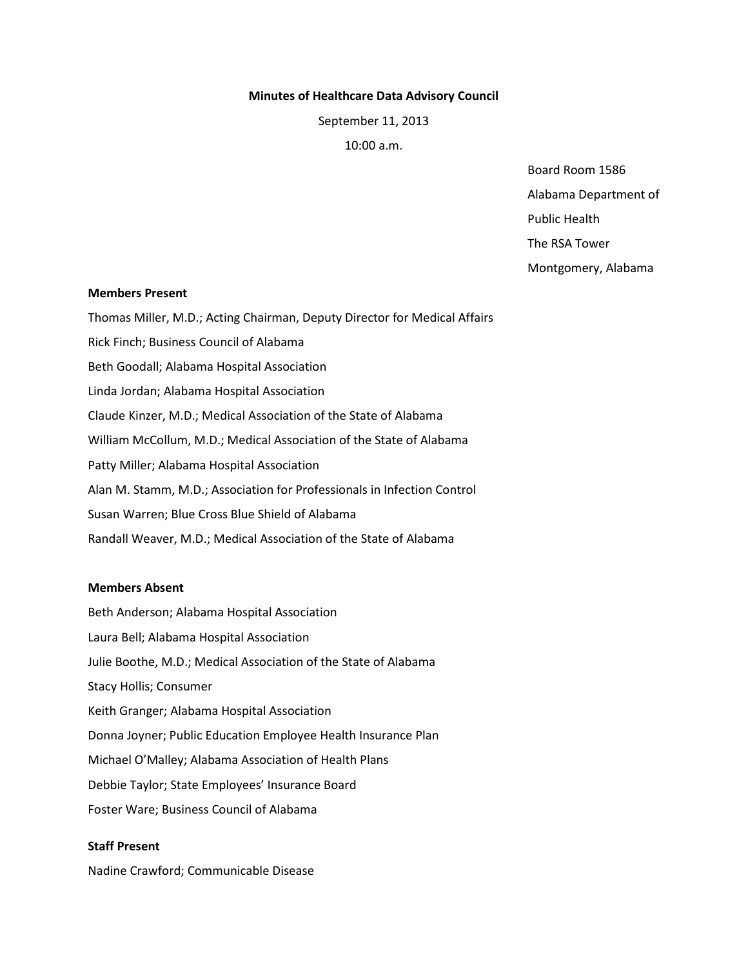#### **Minutes of Healthcare Data Advisory Council**

September 11, 2013

10:00 a.m.

Board Room 1586 Alabama Department of Public Health The RSA Tower

Montgomery, Alabama

#### **Members Present**

Thomas Miller, M.D.; Acting Chairman, Deputy Director for Medical Affairs Rick Finch; Business Council of Alabama Beth Goodall; Alabama Hospital Association Linda Jordan; Alabama Hospital Association Claude Kinzer, M.D.; Medical Association of the State of Alabama William McCollum, M.D.; Medical Association of the State of Alabama Patty Miller; Alabama Hospital Association Alan M. Stamm, M.D.; Association for Professionals in Infection Control Susan Warren; Blue Cross Blue Shield of Alabama Randall Weaver, M.D.; Medical Association of the State of Alabama

### **Members Absent**

Beth Anderson; Alabama Hospital Association Laura Bell; Alabama Hospital Association Julie Boothe, M.D.; Medical Association of the State of Alabama Stacy Hollis; Consumer Keith Granger; Alabama Hospital Association Donna Joyner; Public Education Employee Health Insurance Plan Michael O'Malley; Alabama Association of Health Plans Debbie Taylor; State Employees' Insurance Board Foster Ware; Business Council of Alabama

# **Staff Present**

Nadine Crawford; Communicable Disease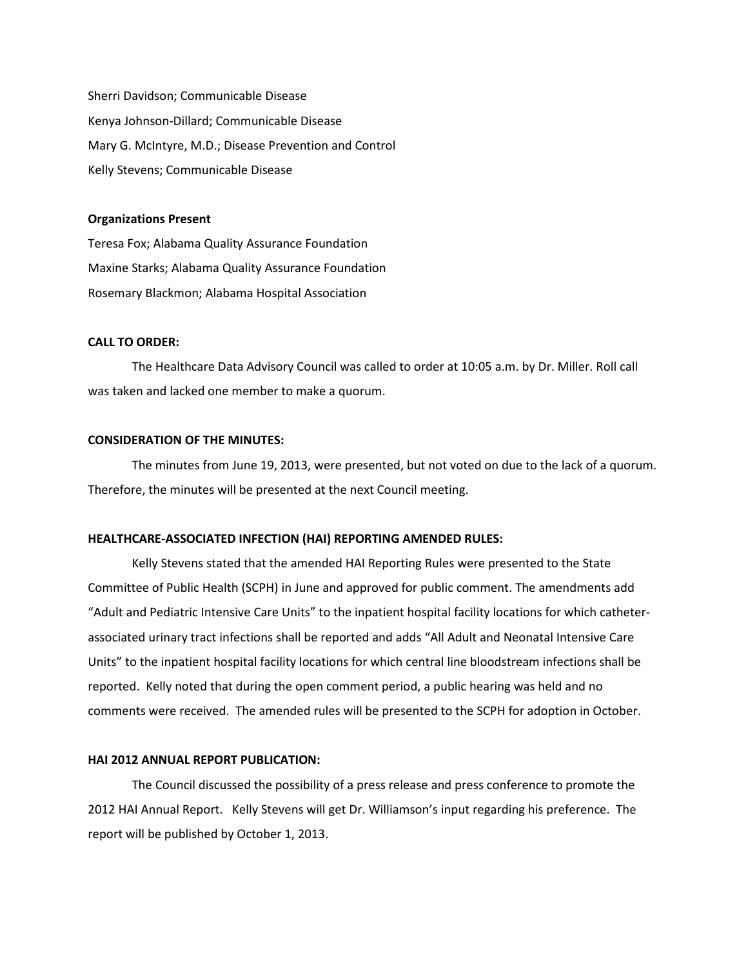Sherri Davidson; Communicable Disease Kenya Johnson-Dillard; Communicable Disease Mary G. McIntyre, M.D.; Disease Prevention and Control Kelly Stevens; Communicable Disease

#### **Organizations Present**

Teresa Fox; Alabama Quality Assurance Foundation Maxine Starks; Alabama Quality Assurance Foundation Rosemary Blackmon; Alabama Hospital Association

# **CALL TO ORDER:**

The Healthcare Data Advisory Council was called to order at 10:05 a.m. by Dr. Miller. Roll call was taken and lacked one member to make a quorum.

#### **CONSIDERATION OF THE MINUTES:**

The minutes from June 19, 2013, were presented, but not voted on due to the lack of a quorum. Therefore, the minutes will be presented at the next Council meeting.

#### **HEALTHCARE-ASSOCIATED INFECTION (HAI) REPORTING AMENDED RULES:**

Kelly Stevens stated that the amended HAI Reporting Rules were presented to the State Committee of Public Health (SCPH) in June and approved for public comment. The amendments add "Adult and Pediatric Intensive Care Units" to the inpatient hospital facility locations for which catheterassociated urinary tract infections shall be reported and adds "All Adult and Neonatal Intensive Care Units" to the inpatient hospital facility locations for which central line bloodstream infections shall be reported. Kelly noted that during the open comment period, a public hearing was held and no comments were received. The amended rules will be presented to the SCPH for adoption in October.

#### **HAI 2012 ANNUAL REPORT PUBLICATION:**

The Council discussed the possibility of a press release and press conference to promote the 2012 HAI Annual Report. Kelly Stevens will get Dr. Williamson's input regarding his preference. The report will be published by October 1, 2013.